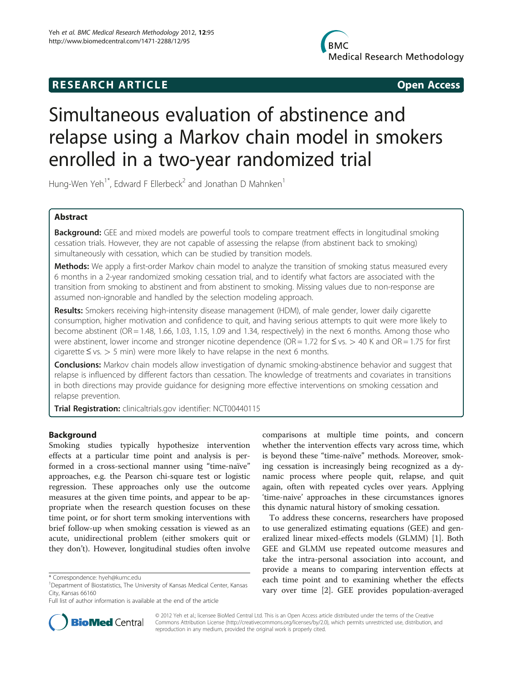## **RESEARCH ARTICLE Example 2014 12:30 The SEAR CHA RTICLE**

# Simultaneous evaluation of abstinence and relapse using a Markov chain model in smokers enrolled in a two-year randomized trial

Hung-Wen Yeh<sup>1\*</sup>, Edward F Ellerbeck<sup>2</sup> and Jonathan D Mahnken<sup>1</sup>

## Abstract

**Background:** GEE and mixed models are powerful tools to compare treatment effects in longitudinal smoking cessation trials. However, they are not capable of assessing the relapse (from abstinent back to smoking) simultaneously with cessation, which can be studied by transition models.

Methods: We apply a first-order Markov chain model to analyze the transition of smoking status measured every 6 months in a 2-year randomized smoking cessation trial, and to identify what factors are associated with the transition from smoking to abstinent and from abstinent to smoking. Missing values due to non-response are assumed non-ignorable and handled by the selection modeling approach.

Results: Smokers receiving high-intensity disease management (HDM), of male gender, lower daily cigarette consumption, higher motivation and confidence to quit, and having serious attempts to quit were more likely to become abstinent (OR = 1.48, 1.66, 1.03, 1.15, 1.09 and 1.34, respectively) in the next 6 months. Among those who were abstinent, lower income and stronger nicotine dependence (OR = 1.72 for  $\leq$  vs.  $>$  40 K and OR = 1.75 for first cigarette  $\leq$  vs.  $>$  5 min) were more likely to have relapse in the next 6 months.

Conclusions: Markov chain models allow investigation of dynamic smoking-abstinence behavior and suggest that relapse is influenced by different factors than cessation. The knowledge of treatments and covariates in transitions in both directions may provide guidance for designing more effective interventions on smoking cessation and relapse prevention.

Trial Registration: clinicaltrials.gov identifier: [NCT00440115](http://clinicaltrials.gov/show/NCT00440115)

## Background

Smoking studies typically hypothesize intervention effects at a particular time point and analysis is performed in a cross-sectional manner using "time-naïve" approaches, e.g. the Pearson chi-square test or logistic regression. These approaches only use the outcome measures at the given time points, and appear to be appropriate when the research question focuses on these time point, or for short term smoking interventions with brief follow-up when smoking cessation is viewed as an acute, unidirectional problem (either smokers quit or they don't). However, longitudinal studies often involve

comparisons at multiple time points, and concern whether the intervention effects vary across time, which is beyond these "time-naïve" methods. Moreover, smoking cessation is increasingly being recognized as a dynamic process where people quit, relapse, and quit again, often with repeated cycles over years. Applying 'time-naive' approaches in these circumstances ignores this dynamic natural history of smoking cessation.

To address these concerns, researchers have proposed to use generalized estimating equations (GEE) and generalized linear mixed-effects models (GLMM) [[1\]](#page-7-0). Both GEE and GLMM use repeated outcome measures and take the intra-personal association into account, and provide a means to comparing intervention effects at each time point and to examining whether the effects vary over time [[2](#page-7-0)]. GEE provides population-averaged



© 2012 Yeh et al.; licensee BioMed Central Ltd. This is an Open Access article distributed under the terms of the Creative Commons Attribution License [\(http://creativecommons.org/licenses/by/2.0\)](http://creativecommons.org/licenses/by/2.0), which permits unrestricted use, distribution, and reproduction in any medium, provided the original work is properly cited.

<sup>\*</sup> Correspondence: [hyeh@kumc.edu](mailto:hyeh@kumc.edu) <sup>1</sup>

<sup>&</sup>lt;sup>1</sup>Department of Biostatistics, The University of Kansas Medical Center, Kansas City, Kansas 66160

Full list of author information is available at the end of the article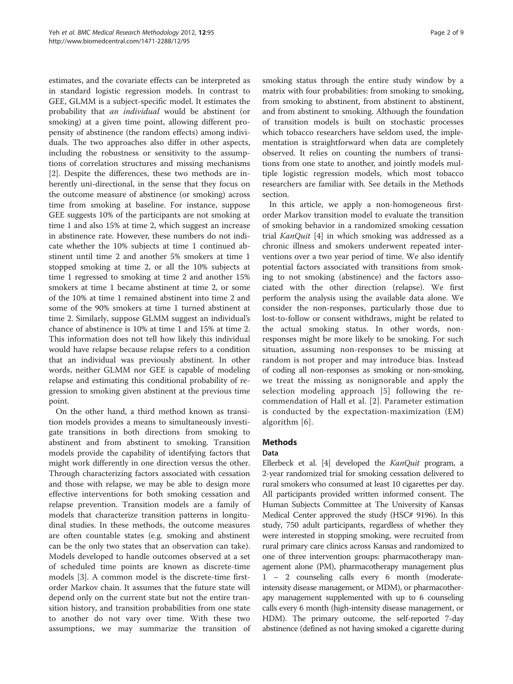estimates, and the covariate effects can be interpreted as in standard logistic regression models. In contrast to GEE, GLMM is a subject-specific model. It estimates the probability that an individual would be abstinent (or smoking) at a given time point, allowing different propensity of abstinence (the random effects) among individuals. The two approaches also differ in other aspects, including the robustness or sensitivity to the assumptions of correlation structures and missing mechanisms [[2\]](#page-7-0). Despite the differences, these two methods are inherently uni-directional, in the sense that they focus on the outcome measure of abstinence (or smoking) across time from smoking at baseline. For instance, suppose GEE suggests 10% of the participants are not smoking at time 1 and also 15% at time 2, which suggest an increase in abstinence rate. However, these numbers do not indicate whether the 10% subjects at time 1 continued abstinent until time 2 and another 5% smokers at time 1 stopped smoking at time 2, or all the 10% subjects at time 1 regressed to smoking at time 2 and another 15% smokers at time 1 became abstinent at time 2, or some of the 10% at time 1 remained abstinent into time 2 and some of the 90% smokers at time 1 turned abstinent at time 2. Similarly, suppose GLMM suggest an individual's chance of abstinence is 10% at time 1 and 15% at time 2. This information does not tell how likely this individual would have relapse because relapse refers to a condition that an individual was previously abstinent. In other words, neither GLMM nor GEE is capable of modeling relapse and estimating this conditional probability of regression to smoking given abstinent at the previous time point.

On the other hand, a third method known as transition models provides a means to simultaneously investigate transitions in both directions from smoking to abstinent and from abstinent to smoking. Transition models provide the capability of identifying factors that might work differently in one direction versus the other. Through characterizing factors associated with cessation and those with relapse, we may be able to design more effective interventions for both smoking cessation and relapse prevention. Transition models are a family of models that characterize transition patterns in longitudinal studies. In these methods, the outcome measures are often countable states (e.g. smoking and abstinent can be the only two states that an observation can take). Models developed to handle outcomes observed at a set of scheduled time points are known as discrete-time models [[3\]](#page-7-0). A common model is the discrete-time firstorder Markov chain. It assumes that the future state will depend only on the current state but not the entire transition history, and transition probabilities from one state to another do not vary over time. With these two assumptions, we may summarize the transition of smoking status through the entire study window by a matrix with four probabilities: from smoking to smoking, from smoking to abstinent, from abstinent to abstinent, and from abstinent to smoking. Although the foundation of transition models is built on stochastic processes which tobacco researchers have seldom used, the implementation is straightforward when data are completely observed. It relies on counting the numbers of transitions from one state to another, and jointly models multiple logistic regression models, which most tobacco researchers are familiar with. See details in the Methods section.

In this article, we apply a non-homogeneous firstorder Markov transition model to evaluate the transition of smoking behavior in a randomized smoking cessation trial KanQuit [[4\]](#page-7-0) in which smoking was addressed as a chronic illness and smokers underwent repeated interventions over a two year period of time. We also identify potential factors associated with transitions from smoking to not smoking (abstinence) and the factors associated with the other direction (relapse). We first perform the analysis using the available data alone. We consider the non-responses, particularly those due to lost-to-follow or consent withdraws, might be related to the actual smoking status. In other words, nonresponses might be more likely to be smoking. For such situation, assuming non-responses to be missing at random is not proper and may introduce bias. Instead of coding all non-responses as smoking or non-smoking, we treat the missing as nonignorable and apply the selection modeling approach [[5](#page-7-0)] following the recommendation of Hall et al. [\[2\]](#page-7-0). Parameter estimation is conducted by the expectation-maximization (EM) algorithm [[6](#page-7-0)].

## Methods

## Data

Ellerbeck et al. [\[4](#page-7-0)] developed the KanQuit program, a 2-year randomized trial for smoking cessation delivered to rural smokers who consumed at least 10 cigarettes per day. All participants provided written informed consent. The Human Subjects Committee at The University of Kansas Medical Center approved the study (HSC# 9196). In this study, 750 adult participants, regardless of whether they were interested in stopping smoking, were recruited from rural primary care clinics across Kansas and randomized to one of three intervention groups: pharmacotherapy management alone (PM), pharmacotherapy management plus 1 – 2 counseling calls every 6 month (moderateintensity disease management, or MDM), or pharmacotherapy management supplemented with up to 6 counseling calls every 6 month (high-intensity disease management, or HDM). The primary outcome, the self-reported 7-day abstinence (defined as not having smoked a cigarette during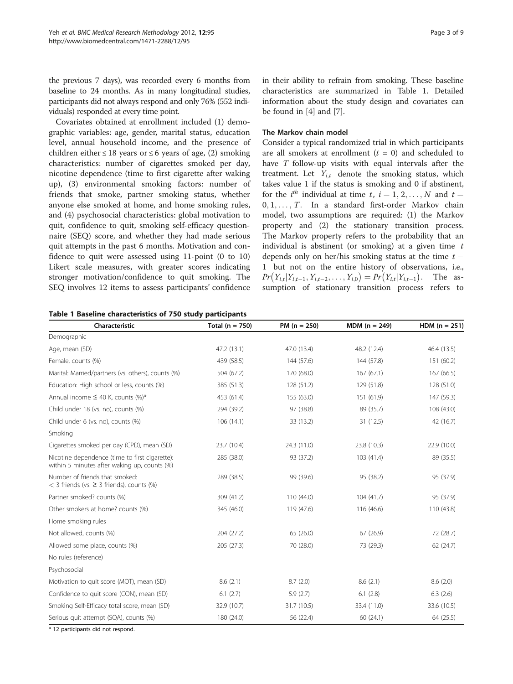the previous 7 days), was recorded every 6 months from baseline to 24 months. As in many longitudinal studies, participants did not always respond and only 76% (552 individuals) responded at every time point.

Covariates obtained at enrollment included (1) demographic variables: age, gender, marital status, education level, annual household income, and the presence of children either  $\leq 18$  years or  $\leq 6$  years of age, (2) smoking characteristics: number of cigarettes smoked per day, nicotine dependence (time to first cigarette after waking up), (3) environmental smoking factors: number of friends that smoke, partner smoking status, whether anyone else smoked at home, and home smoking rules, and (4) psychosocial characteristics: global motivation to quit, confidence to quit, smoking self-efficacy questionnaire (SEQ) score, and whether they had made serious quit attempts in the past 6 months. Motivation and confidence to quit were assessed using 11-point (0 to 10) Likert scale measures, with greater scores indicating stronger motivation/confidence to quit smoking. The SEQ involves 12 items to assess participants' confidence in their ability to refrain from smoking. These baseline characteristics are summarized in Table 1. Detailed information about the study design and covariates can be found in [\[4](#page-7-0)] and [\[7](#page-7-0)].

#### The Markov chain model

Consider a typical randomized trial in which participants are all smokers at enrollment  $(t = 0)$  and scheduled to have T follow-up visits with equal intervals after the treatment. Let  $Y_{i,t}$  denote the smoking status, which takes value 1 if the status is smoking and 0 if abstinent, for the  $i^{th}$  individual at time  $t, i = 1, 2, ..., N$  and  $t =$  $0, 1, \ldots, T$ . In a standard first-order Markov chain model, two assumptions are required: (1) the Markov property and (2) the stationary transition process. The Markov property refers to the probability that an individual is abstinent (or smoking) at a given time  $t$ depends only on her/his smoking status at the time  $t$  – 1 but not on the entire history of observations, i.e.,  $Pr(Y_{i,t}|Y_{i,t-1}, Y_{i,t-2}, \ldots, Y_{i,0}) = Pr(Y_{i,t}|Y_{i,t-1}).$  The assumption of stationary transition process refers to

|  |  | Table 1 Baseline characteristics of 750 study participants |  |  |  |
|--|--|------------------------------------------------------------|--|--|--|
|--|--|------------------------------------------------------------|--|--|--|

| Characteristic                                                                                 | Total ( $n = 750$ ) | $PM (n = 250)$ | $MDM (n = 249)$ | $HDM (n = 251)$ |
|------------------------------------------------------------------------------------------------|---------------------|----------------|-----------------|-----------------|
| Demographic                                                                                    |                     |                |                 |                 |
| Age, mean (SD)                                                                                 | 47.2 (13.1)         | 47.0 (13.4)    | 48.2 (12.4)     | 46.4 (13.5)     |
| Female, counts (%)                                                                             | 439 (58.5)          | 144 (57.6)     | 144 (57.8)      | 151 (60.2)      |
| Marital: Married/partners (vs. others), counts (%)                                             | 504 (67.2)          | 170 (68.0)     | 167(67.1)       | 167 (66.5)      |
| Education: High school or less, counts (%)                                                     | 385 (51.3)          | 128 (51.2)     | 129 (51.8)      | 128 (51.0)      |
| Annual income $\leq$ 40 K, counts (%)*                                                         | 453 (61.4)          | 155 (63.0)     | 151 (61.9)      | 147 (59.3)      |
| Child under 18 (vs. no), counts (%)                                                            | 294 (39.2)          | 97 (38.8)      | 89 (35.7)       | 108 (43.0)      |
| Child under 6 (vs. no), counts (%)                                                             | 106(14.1)           | 33 (13.2)      | 31 (12.5)       | 42 (16.7)       |
| Smoking                                                                                        |                     |                |                 |                 |
| Cigarettes smoked per day (CPD), mean (SD)                                                     | 23.7 (10.4)         | 24.3 (11.0)    | 23.8 (10.3)     | 22.9 (10.0)     |
| Nicotine dependence (time to first cigarette):<br>within 5 minutes after waking up, counts (%) | 285 (38.0)          | 93 (37.2)      | 103 (41.4)      | 89 (35.5)       |
| Number of friends that smoked:<br>$<$ 3 friends (vs. $\geq$ 3 friends), counts (%)             | 289 (38.5)          | 99 (39.6)      | 95 (38.2)       | 95 (37.9)       |
| Partner smoked? counts (%)                                                                     | 309 (41.2)          | 110(44.0)      | 104(41.7)       | 95 (37.9)       |
| Other smokers at home? counts (%)                                                              | 345 (46.0)          | 119 (47.6)     | 116 (46.6)      | 110 (43.8)      |
| Home smoking rules                                                                             |                     |                |                 |                 |
| Not allowed, counts (%)                                                                        | 204 (27.2)          | 65(26.0)       | 67(26.9)        | 72 (28.7)       |
| Allowed some place, counts (%)                                                                 | 205 (27.3)          | 70 (28.0)      | 73 (29.3)       | 62 (24.7)       |
| No rules (reference)                                                                           |                     |                |                 |                 |
| Psychosocial                                                                                   |                     |                |                 |                 |
| Motivation to quit score (MOT), mean (SD)                                                      | 8.6(2.1)            | 8.7(2.0)       | 8.6(2.1)        | 8.6(2.0)        |
| Confidence to quit score (CON), mean (SD)                                                      | 6.1(2.7)            | 5.9(2.7)       | 6.1(2.8)        | 6.3(2.6)        |
| Smoking Self-Efficacy total score, mean (SD)                                                   | 32.9 (10.7)         | 31.7 (10.5)    | 33.4 (11.0)     | 33.6 (10.5)     |
| Serious quit attempt (SQA), counts (%)                                                         | 180 (24.0)          | 56 (22.4)      | 60(24.1)        | 64 (25.5)       |

\* 12 participants did not respond.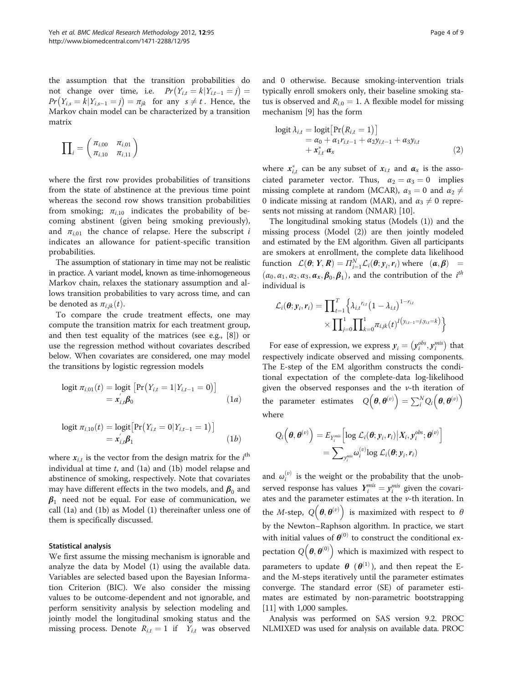the assumption that the transition probabilities do not change over time, i.e.  $Pr(Y_{i,t} = k | Y_{i,t-1} = j) =$  $Pr(Y_{i,s} = k | Y_{i,s-1} = j) = \pi_{jk}$  for any  $s \neq t$ . Hence, the Markov chain model can be characterized by a transition matrix

$$
\prod_i = \begin{pmatrix} \pi_{i,00} & \pi_{i,01} \\ \pi_{i,10} & \pi_{i,11} \end{pmatrix}
$$

where the first row provides probabilities of transitions from the state of abstinence at the previous time point whereas the second row shows transition probabilities from smoking;  $\pi_{i,10}$  indicates the probability of becoming abstinent (given being smoking previously), and  $\pi_{i,01}$  the chance of relapse. Here the subscript i indicates an allowance for patient-specific transition probabilities.

The assumption of stationary in time may not be realistic in practice. A variant model, known as time-inhomogeneous Markov chain, relaxes the stationary assumption and allows transition probabilities to vary across time, and can be denoted as  $\pi_{i,jk}(t)$ .

To compare the crude treatment effects, one may compute the transition matrix for each treatment group, and then test equality of the matrices (see e.g., [\[8\]](#page-7-0)) or use the regression method without covariates described below. When covariates are considered, one may model the transitions by logistic regression models

$$
logit \pi_{i,01}(t) = logit [Pr(Y_{i,t} = 1 | Y_{i,t-1} = 0)]
$$
  
=  $x'_{i,t} \beta_0$  (1*a*)

$$
logit \pi_{i,10}(t) = logit [Pr(Y_{i,t} = 0 | Y_{i,t-1} = 1)]
$$
  
=  $x'_{i,t} \beta_1$  (1*b*)

where  $x_{i,t}$  is the vector from the design matrix for the  $i^{\text{th}}$ individual at time  $t$ , and (1a) and (1b) model relapse and abstinence of smoking, respectively. Note that covariates may have different effects in the two models, and  $\beta_0$  and  $\beta_1$  need not be equal. For ease of communication, we call (1a) and (1b) as Model (1) thereinafter unless one of them is specifically discussed.

#### Statistical analysis

We first assume the missing mechanism is ignorable and analyze the data by Model (1) using the available data. Variables are selected based upon the Bayesian Information Criterion (BIC). We also consider the missing values to be outcome-dependent and not ignorable, and perform sensitivity analysis by selection modeling and jointly model the longitudinal smoking status and the missing process. Denote  $R_{i,t} = 1$  if  $Y_{i,t}$  was observed and 0 otherwise. Because smoking-intervention trials typically enroll smokers only, their baseline smoking status is observed and  $R_{i,0} = 1$ . A flexible model for missing mechanism [[9](#page-7-0)] has the form

$$
logit \lambda_{i,t} = logit [Pr(R_{i,t} = 1)]
$$
  
=  $\alpha_0 + \alpha_1 r_{i,t-1} + \alpha_2 y_{i,t-1} + \alpha_3 y_{i,t}$   
+  $x_{i,t}^* \alpha_x$  (2)

where  $x_{i,t}^*$  can be any subset of  $x_{i,t}$  and  $\alpha_x$  is the associated parameter vector. Thus,  $\alpha_2 = \alpha_3 = 0$  implies missing complete at random (MCAR),  $\alpha_3 = 0$  and  $\alpha_2 \neq 0$ 0 indicate missing at random (MAR), and  $\alpha_3 \neq 0$  represents not missing at random (NMAR) [[10](#page-7-0)].

The longitudinal smoking status (Models (1)) and the missing process (Model (2)) are then jointly modeled and estimated by the EM algorithm. Given all participants are smokers at enrollment, the complete data likelihood function  $\mathcal{L}(\theta; Y, R) = \prod_{i=1}^{N} \mathcal{L}_i(\theta; y_i, r_i)$  where  $(\alpha, \beta)$  $(\alpha_0, \alpha_1, \alpha_2, \alpha_3, \boldsymbol{\alpha}_x, \boldsymbol{\beta}_0, \boldsymbol{\beta}_1)$ , and the contribution of the  $i^{th}$ individual is

$$
\mathcal{L}_{i}(\boldsymbol{\theta}; y_{i}, r_{i}) = \prod_{t=1}^{T} \left\{ \lambda_{i,t}^{r_{i,t}} (1 - \lambda_{i,t})^{1 - r_{i,t}} \times \prod_{j=0}^{1} \prod_{k=0}^{1} \pi_{i,jk}(t)^{I(y_{i,t-1} = j, y_{i,t} = k)} \right\}
$$

For ease of expression, we express  $y_i = (y_i^{obs}, y_i^{mis})$  that respectively indicate observed and missing components. The E-step of the EM algorithm constructs the conditional expectation of the complete-data log-likelihood given the observed responses and the  $\nu$ -th iteration of the parameter estimates  $Q\!\left(\boldsymbol{\theta},\boldsymbol{\theta}^{(v)}\right)=\sum_i^N\!Q_i\!\left(\boldsymbol{\theta},\boldsymbol{\theta}^{(v)}\right)$ where

$$
\begin{aligned} Q_i\Big(\boldsymbol{\theta}, \boldsymbol{\theta}^{(v)}\Big) &= E_{Y_i^{mis}}\Big[ \text{log}\, \mathcal{L}_i(\boldsymbol{\theta}; y_i, r_i) \big| X_i, y_i^{obs}; \boldsymbol{\theta}^{(v)} \Big] \\ &= \sum\nolimits_{\mathbf{y}_i^{mis}} \omega_i^{(v)} \text{log}\, \mathcal{L}_i(\boldsymbol{\theta}; y_i, r_i) \end{aligned}
$$

and  $\omega_i^{(v)}$  is the weight or the probability that the unobserved response has values  $Y_i^{mis} = y_i^{mis}$  given the covariates and the parameter estimates at the  $\nu$ -th iteration. In the M-step,  $Q(\theta, \theta^{(v)})$  is maximized with respect to  $\theta$ by the Newton–Raphson algorithm. In practice, we start with initial values of  $\boldsymbol{\theta}^{(0)}$  to construct the conditional expectation  $Q(\theta, \theta^{(0)})$  which is maximized with respect to parameters to update  $\boldsymbol{\theta}$  ( $\boldsymbol{\theta}^{(1)}$ ), and then repeat the Eand the M-steps iteratively until the parameter estimates converge. The standard error (SE) of parameter estimates are estimated by non-parametric bootstrapping [[11\]](#page-7-0) with 1,000 samples.

Analysis was performed on SAS version 9.2. PROC NLMIXED was used for analysis on available data. PROC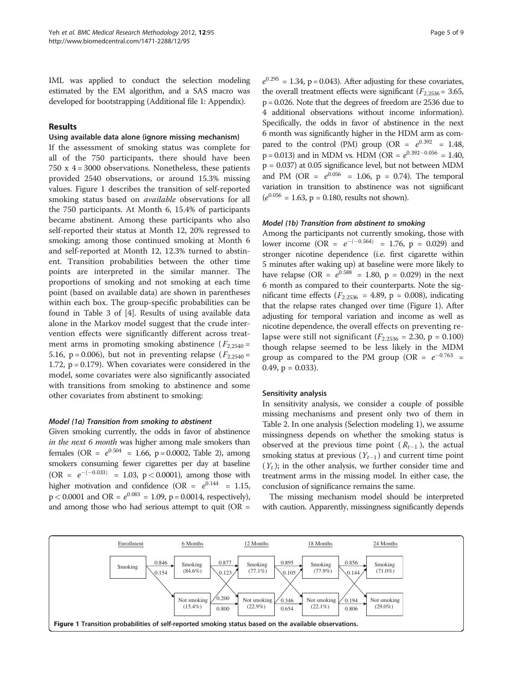<span id="page-4-0"></span>IML was applied to conduct the selection modeling estimated by the EM algorithm, and a SAS macro was developed for bootstrapping (Additional file [1:](#page-7-0) Appendix).

### Results

#### Using available data alone (ignore missing mechanism)

If the assessment of smoking status was complete for all of the 750 participants, there should have been 750 x 4 = 3000 observations. Nonetheless, these patients provided 2540 observations, or around 15.3% missing values. Figure 1 describes the transition of self-reported smoking status based on *available* observations for all the 750 participants. At Month 6, 15.4% of participants became abstinent. Among these participants who also self-reported their status at Month 12, 20% regressed to smoking; among those continued smoking at Month 6 and self-reported at Month 12, 12.3% turned to abstinent. Transition probabilities between the other time points are interpreted in the similar manner. The proportions of smoking and not smoking at each time point (based on available data) are shown in parentheses within each box. The group-specific probabilities can be found in Table 3 of [\[4\]](#page-7-0). Results of using available data alone in the Markov model suggest that the crude intervention effects were significantly different across treatment arms in promoting smoking abstinence ( $F_{2,2540}$  = 5.16, p = 0.006), but not in preventing relapse ( $F_{2,2540}$  = 1.72, p = 0.179). When covariates were considered in the model, some covariates were also significantly associated with transitions from smoking to abstinence and some other covariates from abstinent to smoking:

#### Model (1a) Transition from smoking to abstinent

Given smoking currently, the odds in favor of abstinence in the next 6 month was higher among male smokers than females (OR =  $e^{0.504}$  = 1.66, p = 0.0002, Table [2](#page-5-0)), among smokers consuming fewer cigarettes per day at baseline  $(OR = e^{-(-0.033)} = 1.03, p < 0.0001)$ , among those with higher motivation and confidence (OR =  $e^{0.144}$  = 1.15,  $p < 0.0001$  and OR =  $e^{0.083}$  = 1.09, p = 0.0014, respectively), and among those who had serious attempt to quit (OR =

 $e^{0.295}$  = 1.34, p = 0.043). After adjusting for these covariates, the overall treatment effects were significant ( $F_{2,2536}$  = 3.65, p = 0.026. Note that the degrees of freedom are 2536 due to 4 additional observations without income information). Specifically, the odds in favor of abstinence in the next 6 month was significantly higher in the HDM arm as compared to the control (PM) group (OR =  $e^{0.392}$  = 1.48,  $p = 0.013$ ) and in MDM vs. HDM (OR =  $e^{0.392 - 0.056} = 1.40$ , p = 0.037) at 0.05 significance level, but not between MDM and PM (OR =  $e^{0.056}$  = 1.06, p = 0.74). The temporal variation in transition to abstinence was not significant  $(e^{0.056} = 1.63, p = 0.180,$  results not shown).

#### Model (1b) Transition from abstinent to smoking

Among the participants not currently smoking, those with lower income (OR =  $e^{-(-0.564)}$  = 1.76, p = 0.029) and stronger nicotine dependence (i.e. first cigarette within 5 minutes after waking up) at baseline were more likely to have relapse (OR =  $e^{0.588}$  = 1.80, p = 0.029) in the next 6 month as compared to their counterparts. Note the significant time effects ( $F_{2,2536}$  = 4.89, p = 0.008), indicating that the relapse rates changed over time (Figure 1). After adjusting for temporal variation and income as well as nicotine dependence, the overall effects on preventing relapse were still not significant  $(F_{2,2536} = 2.30, p = 0.100)$ though relapse seemed to be less likely in the MDM group as compared to the PM group (OR =  $e^{-0.763}$  = 0.49,  $p = 0.033$ ).

#### Sensitivity analysis

In sensitivity analysis, we consider a couple of possible missing mechanisms and present only two of them in Table [2.](#page-5-0) In one analysis (Selection modeling 1), we assume missingness depends on whether the smoking status is observed at the previous time point  $(R_{t-1})$ , the actual smoking status at previous  $(Y_{t-1})$  and current time point  $(Y_t)$ ; in the other analysis, we further consider time and treatment arms in the missing model. In either case, the conclusion of significance remains the same.

The missing mechanism model should be interpreted with caution. Apparently, missingness significantly depends

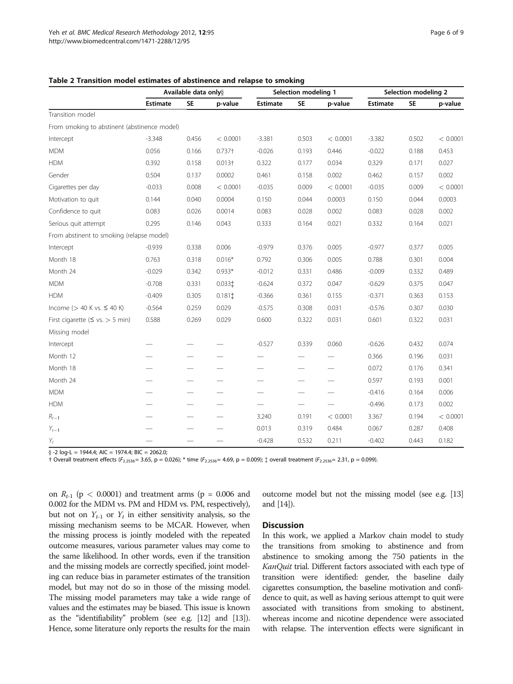|                                              | Available data only§     |           |                          | Selection modeling 1     |                          |          | Selection modeling 2 |           |          |
|----------------------------------------------|--------------------------|-----------|--------------------------|--------------------------|--------------------------|----------|----------------------|-----------|----------|
|                                              | <b>Estimate</b>          | <b>SE</b> | p-value                  | <b>Estimate</b>          | <b>SE</b>                | p-value  | <b>Estimate</b>      | <b>SE</b> | p-value  |
| Transition model                             |                          |           |                          |                          |                          |          |                      |           |          |
| From smoking to abstinent (abstinence model) |                          |           |                          |                          |                          |          |                      |           |          |
| Intercept                                    | $-3.348$                 | 0.456     | < 0.0001                 | $-3.381$                 | 0.503                    | < 0.0001 | $-3.382$             | 0.502     | < 0.0001 |
| <b>MDM</b>                                   | 0.056                    | 0.166     | $0.737+$                 | $-0.026$                 | 0.193                    | 0.446    | $-0.022$             | 0.188     | 0.453    |
| <b>HDM</b>                                   | 0.392                    | 0.158     | $0.013+$                 | 0.322                    | 0.177                    | 0.034    | 0.329                | 0.171     | 0.027    |
| Gender                                       | 0.504                    | 0.137     | 0.0002                   | 0.461                    | 0.158                    | 0.002    | 0.462                | 0.157     | 0.002    |
| Cigarettes per day                           | $-0.033$                 | 0.008     | < 0.0001                 | $-0.035$                 | 0.009                    | < 0.0001 | $-0.035$             | 0.009     | < 0.0001 |
| Motivation to quit                           | 0.144                    | 0.040     | 0.0004                   | 0.150                    | 0.044                    | 0.0003   | 0.150                | 0.044     | 0.0003   |
| Confidence to quit                           | 0.083                    | 0.026     | 0.0014                   | 0.083                    | 0.028                    | 0.002    | 0.083                | 0.028     | 0.002    |
| Serious quit attempt                         | 0.295                    | 0.146     | 0.043                    | 0.333                    | 0.164                    | 0.021    | 0.332                | 0.164     | 0.021    |
| From abstinent to smoking (relapse model)    |                          |           |                          |                          |                          |          |                      |           |          |
| Intercept                                    | $-0.939$                 | 0.338     | 0.006                    | $-0.979$                 | 0.376                    | 0.005    | $-0.977$             | 0.377     | 0.005    |
| Month 18                                     | 0.763                    | 0.318     | $0.016*$                 | 0.792                    | 0.306                    | 0.005    | 0.788                | 0.301     | 0.004    |
| Month 24                                     | $-0.029$                 | 0.342     | $0.933*$                 | $-0.012$                 | 0.331                    | 0.486    | $-0.009$             | 0.332     | 0.489    |
| <b>MDM</b>                                   | $-0.708$                 | 0.331     | 0.0331                   | $-0.624$                 | 0.372                    | 0.047    | $-0.629$             | 0.375     | 0.047    |
| <b>HDM</b>                                   | $-0.409$                 | 0.305     | 0.1811                   | $-0.366$                 | 0.361                    | 0.155    | $-0.371$             | 0.363     | 0.153    |
| Income ( $>$ 40 K vs. $\leq$ 40 K)           | $-0.564$                 | 0.259     | 0.029                    | $-0.575$                 | 0.308                    | 0.031    | $-0.576$             | 0.307     | 0.030    |
| First cigarette ( $\leq$ vs. $>$ 5 min)      | 0.588                    | 0.269     | 0.029                    | 0.600                    | 0.322                    | 0.031    | 0.601                | 0.322     | 0.031    |
| Missing model                                |                          |           |                          |                          |                          |          |                      |           |          |
| Intercept                                    |                          |           |                          | $-0.527$                 | 0.339                    | 0.060    | $-0.626$             | 0.432     | 0.074    |
| Month 12                                     | $\overline{\phantom{0}}$ |           | $\overline{\phantom{0}}$ |                          |                          |          | 0.366                | 0.196     | 0.031    |
| Month 18                                     |                          |           |                          |                          |                          |          | 0.072                | 0.176     | 0.341    |
| Month 24                                     |                          |           |                          |                          |                          |          | 0.597                | 0.193     | 0.001    |
| <b>MDM</b>                                   |                          |           |                          |                          |                          |          | $-0.416$             | 0.164     | 0.006    |
| <b>HDM</b>                                   | $\overline{\phantom{a}}$ |           |                          | $\overline{\phantom{0}}$ | $\overline{\phantom{0}}$ |          | $-0.496$             | 0.173     | 0.002    |
| $R_{t-1}$                                    |                          |           |                          | 3.240                    | 0.191                    | < 0.0001 | 3.367                | 0.194     | < 0.0001 |
| $Y_{t-1}$                                    |                          |           |                          | 0.013                    | 0.319                    | 0.484    | 0.067                | 0.287     | 0.408    |
| $Y_t$                                        |                          |           |                          | $-0.428$                 | 0.532                    | 0.211    | $-0.402$             | 0.443     | 0.182    |

#### <span id="page-5-0"></span>Table 2 Transition model estimates of abstinence and relapse to smoking

 $\S$  -2 log-L = 1944.4; AIC = 1974.4; BIC = 2062.0;

† Overall treatment effects ( $F_{2,2536}$ = 3.65, p = 0.026); \* time ( $F_{2,2536}$ = 4.69, p = 0.009);  $\ddagger$  overall treatment ( $F_{2,2536}$ = 2.31, p = 0.099).

on  $R_{t-1}$  (p < 0.0001) and treatment arms (p = 0.006 and 0.002 for the MDM vs. PM and HDM vs. PM, respectively), but not on  $Y_{t-1}$  or  $Y_t$  in either sensitivity analysis, so the missing mechanism seems to be MCAR. However, when the missing process is jointly modeled with the repeated outcome measures, various parameter values may come to the same likelihood. In other words, even if the transition and the missing models are correctly specified, joint modeling can reduce bias in parameter estimates of the transition model, but may not do so in those of the missing model. The missing model parameters may take a wide range of values and the estimates may be biased. This issue is known as the "identifiability" problem (see e.g. [\[12](#page-7-0)] and [\[13](#page-7-0)]). Hence, some literature only reports the results for the main

outcome model but not the missing model (see e.g. [\[13](#page-7-0)] and [\[14](#page-7-0)]).

#### **Discussion**

In this work, we applied a Markov chain model to study the transitions from smoking to abstinence and from abstinence to smoking among the 750 patients in the KanQuit trial. Different factors associated with each type of transition were identified: gender, the baseline daily cigarettes consumption, the baseline motivation and confidence to quit, as well as having serious attempt to quit were associated with transitions from smoking to abstinent, whereas income and nicotine dependence were associated with relapse. The intervention effects were significant in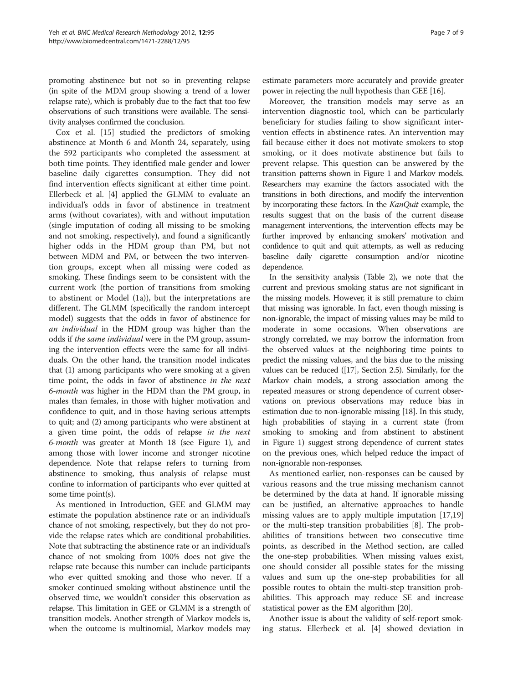promoting abstinence but not so in preventing relapse (in spite of the MDM group showing a trend of a lower relapse rate), which is probably due to the fact that too few observations of such transitions were available. The sensitivity analyses confirmed the conclusion.

Cox et al. [[15\]](#page-7-0) studied the predictors of smoking abstinence at Month 6 and Month 24, separately, using the 592 participants who completed the assessment at both time points. They identified male gender and lower baseline daily cigarettes consumption. They did not find intervention effects significant at either time point. Ellerbeck et al. [[4\]](#page-7-0) applied the GLMM to evaluate an individual's odds in favor of abstinence in treatment arms (without covariates), with and without imputation (single imputation of coding all missing to be smoking and not smoking, respectively), and found a significantly higher odds in the HDM group than PM, but not between MDM and PM, or between the two intervention groups, except when all missing were coded as smoking. These findings seem to be consistent with the current work (the portion of transitions from smoking to abstinent or Model (1a)), but the interpretations are different. The GLMM (specifically the random intercept model) suggests that the odds in favor of abstinence for an individual in the HDM group was higher than the odds if the same individual were in the PM group, assuming the intervention effects were the same for all individuals. On the other hand, the transition model indicates that (1) among participants who were smoking at a given time point, the odds in favor of abstinence in the next 6-month was higher in the HDM than the PM group, in males than females, in those with higher motivation and confidence to quit, and in those having serious attempts to quit; and (2) among participants who were abstinent at a given time point, the odds of relapse in the next 6-month was greater at Month 18 (see Figure [1](#page-4-0)), and among those with lower income and stronger nicotine dependence. Note that relapse refers to turning from abstinence to smoking, thus analysis of relapse must confine to information of participants who ever quitted at some time point(s).

As mentioned in Introduction, GEE and GLMM may estimate the population abstinence rate or an individual's chance of not smoking, respectively, but they do not provide the relapse rates which are conditional probabilities. Note that subtracting the abstinence rate or an individual's chance of not smoking from 100% does not give the relapse rate because this number can include participants who ever quitted smoking and those who never. If a smoker continued smoking without abstinence until the observed time, we wouldn't consider this observation as relapse. This limitation in GEE or GLMM is a strength of transition models. Another strength of Markov models is, when the outcome is multinomial, Markov models may estimate parameters more accurately and provide greater power in rejecting the null hypothesis than GEE [\[16\]](#page-7-0).

Moreover, the transition models may serve as an intervention diagnostic tool, which can be particularly beneficiary for studies failing to show significant intervention effects in abstinence rates. An intervention may fail because either it does not motivate smokers to stop smoking, or it does motivate abstinence but fails to prevent relapse. This question can be answered by the transition patterns shown in Figure [1](#page-4-0) and Markov models. Researchers may examine the factors associated with the transitions in both directions, and modify the intervention by incorporating these factors. In the *KanQuit* example, the results suggest that on the basis of the current disease management interventions, the intervention effects may be further improved by enhancing smokers' motivation and confidence to quit and quit attempts, as well as reducing baseline daily cigarette consumption and/or nicotine dependence.

In the sensitivity analysis (Table [2\)](#page-5-0), we note that the current and previous smoking status are not significant in the missing models. However, it is still premature to claim that missing was ignorable. In fact, even though missing is non-ignorable, the impact of missing values may be mild to moderate in some occasions. When observations are strongly correlated, we may borrow the information from the observed values at the neighboring time points to predict the missing values, and the bias due to the missing values can be reduced ([\[17\]](#page-7-0), Section 2.5). Similarly, for the Markov chain models, a strong association among the repeated measures or strong dependence of current observations on previous observations may reduce bias in estimation due to non-ignorable missing [\[18](#page-7-0)]. In this study, high probabilities of staying in a current state (from smoking to smoking and from abstinent to abstinent in Figure [1\)](#page-4-0) suggest strong dependence of current states on the previous ones, which helped reduce the impact of non-ignorable non-responses.

As mentioned earlier, non-responses can be caused by various reasons and the true missing mechanism cannot be determined by the data at hand. If ignorable missing can be justified, an alternative approaches to handle missing values are to apply multiple imputation [[17](#page-7-0),[19](#page-7-0)] or the multi-step transition probabilities [\[8](#page-7-0)]. The probabilities of transitions between two consecutive time points, as described in the Method section, are called the one-step probabilities. When missing values exist, one should consider all possible states for the missing values and sum up the one-step probabilities for all possible routes to obtain the multi-step transition probabilities. This approach may reduce SE and increase statistical power as the EM algorithm [\[20](#page-7-0)].

Another issue is about the validity of self-report smoking status. Ellerbeck et al. [\[4](#page-7-0)] showed deviation in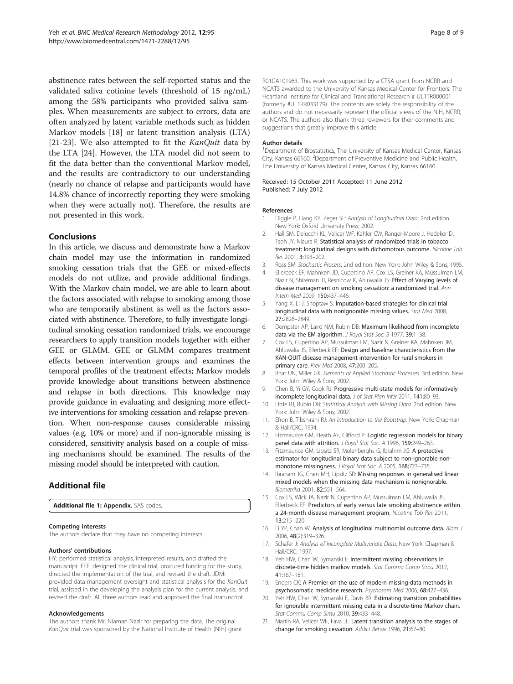<span id="page-7-0"></span>abstinence rates between the self-reported status and the validated saliva cotinine levels (threshold of 15 ng/mL) among the 58% participants who provided saliva samples. When measurements are subject to errors, data are often analyzed by latent variable methods such as hidden Markov models [18] or latent transition analysis (LTA) [21[-23](#page-8-0)]. We also attempted to fit the  $KanOut$  data by the LTA [\[24](#page-8-0)]. However, the LTA model did not seem to fit the data better than the conventional Markov model, and the results are contradictory to our understanding (nearly no chance of relapse and participants would have 14.8% chance of incorrectly reporting they were smoking when they were actually not). Therefore, the results are not presented in this work.

## Conclusions

In this article, we discuss and demonstrate how a Markov chain model may use the information in randomized smoking cessation trials that the GEE or mixed-effects models do not utilize, and provide additional findings. With the Markov chain model, we are able to learn about the factors associated with relapse to smoking among those who are temporarily abstinent as well as the factors associated with abstinence. Therefore, to fully investigate longitudinal smoking cessation randomized trials, we encourage researchers to apply transition models together with either GEE or GLMM. GEE or GLMM compares treatment effects between intervention groups and examines the temporal profiles of the treatment effects; Markov models provide knowledge about transitions between abstinence and relapse in both directions. This knowledge may provide guidance in evaluating and designing more effective interventions for smoking cessation and relapse prevention. When non-response causes considerable missing values (e.g. 10% or more) and if non-ignorable missing is considered, sensitivity analysis based on a couple of missing mechanisms should be examined. The results of the missing model should be interpreted with caution.

## Additional file

[Additional file 1](http://www.biomedcentral.com/content/supplementary/1471-2288-12-95-S1.docx): Appendix. SAS codes

#### Competing interests

The authors declare that they have no competing interests.

#### Authors' contributions

HY: performed statistical analysis, interpreted results, and drafted the manuscript. EFE: designed the clinical trial, procured funding for the study, directed the implementation of the trial, and revised the draft. JDM: provided data management oversight and statistical analysis for the KanQuit trial, assisted in the developing the analysis plan for the current analysis, and revised the draft. All three authors read and approved the final manuscript.

#### Acknowledgements

The authors thank Mr. Niaman Nazir for preparing the data. The original KanQuit trial was sponsored by the National Institute of Health (NIH) grant

R01CA101963. This work was supported by a CTSA grant from NCRR and NCATS awarded to the University of Kansas Medical Center for Frontiers: The Heartland Institute for Clinical and Translational Research # UL1TR000001 (formerly #UL1RR033179). The contents are solely the responsibility of the authors and do not necessarily represent the official views of the NIH, NCRR, or NCATS. The authors also thank three reviewers for their comments and suggestions that greatly improve this article.

#### Author details

<sup>1</sup>Department of Biostatistics, The University of Kansas Medical Center, Kansas City, Kansas 66160. <sup>2</sup> Department of Preventive Medicine and Public Health The University of Kansas Medical Center, Kansas City, Kansas 66160.

#### Received: 15 October 2011 Accepted: 11 June 2012 Published: 7 July 2012

#### References

- Diggle P, Liang KY, Zeger SL: Analysis of Longitudinal Data. 2nd edition. New York: Oxford University Press; 2002.
- 2. Hall SM, Delucchi KL, Velicer WF, Kahler CW, Ranger-Moore J, Hedeker D, Tsoh JY, Niaura R: Statistical analysis of randomized trials in tobacco treatment: longitudinal designs with dichomotous outcome. Nicotine Tob Res 2001, 3:193–202.
- 3. Ross SM: Stochastic Process. 2nd edition. New York: John Wiley & Sons; 1995.
- 4. Ellerbeck EF, Mahnken JD, Cupertino AP, Cox LS, Greiner KA, Mussulman LM, Nazir N, Shireman TI, Resnicow K, Ahluwalia JS: Effect of Varying levels of disease management on smoking cessation: a randomized trial. Ann Intern Med 2009, 150:437–446.
- 5. Yang X, Li J, Shoptaw S: Imputation-based strategies for clinical trial longitudinal data with nonignorable missing values. Stat Med 2008, 27:2826–2849.
- 6. Dempster AP, Laird NM, Rubin DB: Maximum likelihood from incomplete data via the EM algorithm. J Royal Stat Soc. B 1977, 39:1-38.
- 7. Cox LS, Cupertino AP, Mussulman LM, Nazir N, Greiner KA, Mahnken JM, Ahluwalia JS, Ellerbeck EF: Design and baseline characteristics from the KAN-QUIT disease management intervention for rural smokers in primary care. Prev Med 2008, 47:200–205.
- 8. Bhat UN, Miller GK: Elements of Applied Stochastic Processes. 3rd edition. New York: John Wiley & Sons; 2002.
- 9. Chen B, Yi GY, Cook RJ: Progressive multi-state models for informatively incomplete longitudinal data. J of Stat Plan Infer 2011, 141:80–93.
- 10. Little RJ, Rubin DB: Statistical Analysis with Missing Data. 2nd edition. New York: John Wiley & Sons; 2002.
- 11. Efron B, Tibshirani RJ: An Introduction to the Bootstrap. New York: Chapman & Hall/CRC; 1994.
- 12. Fitzmaurice GM, Heath AF, Clifford P: Logistic regression models for binary panel data with attrition. J Royal Stat Soc. A 1996, 159:249-263.
- 13. Fitzmaurice GM, Lipsitz SR, Molenberghs G, Ibrahim JG: A protective estimator for longitudinal binary data subject to non-ignorable nonmonotone missingness. J Royal Stat Soc. A 2005, 168:723–735.
- 14. Ibraham JG, Chen MH, Lipsitz SR: Missing responses in generalised linear mixed models when the missing data mechanism is nonignorable. Biometrika 2001, 82:551–564.
- 15. Cox LS, Wick JA, Nazir N, Cupertino AP, Mussulman LM, Ahluwalia JS, Ellerbeck EF: Predictors of early versus late smoking abstinence within a 24-month disease management program. Nicotine Tob Res 2011, 13:215–220.
- 16. Li YP, Chan W: Analysis of longitudinal multinomial outcome data. Biom J 2006, 48(2):319–326.
- 17. Schafer J: Analysis of Incomplete Multivariate Data. New York: Chapman & Hall/CRC; 1997.
- 18. Yeh HW, Chan W, Symanski E: Intermittent missing observations in discrete-time hidden markov models. Stat Commu Comp Simu 2012, 41:167–181.
- 19. Enders CK: A Premier on the use of modern missing-data methods in psychosomatic medicine research. Psychosom Med 2006, 68:427–436.
- 20. Yeh HW, Chan W, Symanski E, Davis BR: Estimating transition probabilities for ignorable intermittent missing data in a discrete-time Markov chain. Stat Commu Comp Simu 2010, 39:433–448.
- 21. Martin RA, Velicer WF, Fava JL: Latent transition analysis to the stages of change for smoking cessation. Addict Behav 1996, 21:67–80.